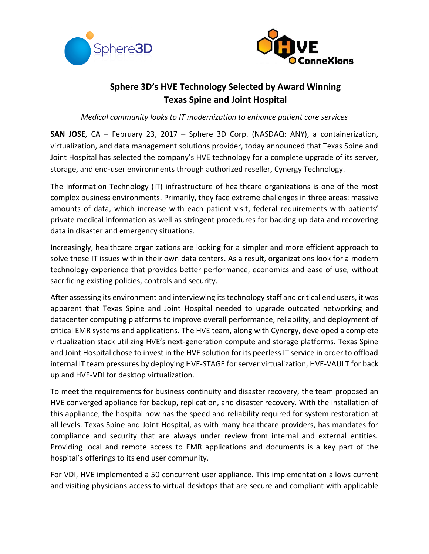



# **Sphere 3D's HVE Technology Selected by Award Winning Texas Spine and Joint Hospital**

*Medical community looks to IT modernization to enhance patient care services*

**SAN JOSE**, CA – February 23, 2017 – Sphere 3D Corp. (NASDAQ: ANY), a containerization, virtualization, and data management solutions provider, today announced that Texas Spine and Joint Hospital has selected the company's HVE technology for a complete upgrade of its server, storage, and end-user environments through authorized reseller, Cynergy Technology.

The Information Technology (IT) infrastructure of healthcare organizations is one of the most complex business environments. Primarily, they face extreme challenges in three areas: massive amounts of data, which increase with each patient visit, federal requirements with patients' private medical information as well as stringent procedures for backing up data and recovering data in disaster and emergency situations.

Increasingly, healthcare organizations are looking for a simpler and more efficient approach to solve these IT issues within their own data centers. As a result, organizations look for a modern technology experience that provides better performance, economics and ease of use, without sacrificing existing policies, controls and security.

After assessing its environment and interviewing its technology staff and critical end users, it was apparent that Texas Spine and Joint Hospital needed to upgrade outdated networking and datacenter computing platforms to improve overall performance, reliability, and deployment of critical EMR systems and applications. The HVE team, along with Cynergy, developed a complete virtualization stack utilizing HVE's next-generation compute and storage platforms. Texas Spine and Joint Hospital chose to invest in the HVE solution for its peerless IT service in order to offload internal IT team pressures by deploying HVE-STAGE for server virtualization, HVE-VAULT for back up and HVE-VDI for desktop virtualization.

To meet the requirements for business continuity and disaster recovery, the team proposed an HVE converged appliance for backup, replication, and disaster recovery. With the installation of this appliance, the hospital now has the speed and reliability required for system restoration at all levels. Texas Spine and Joint Hospital, as with many healthcare providers, has mandates for compliance and security that are always under review from internal and external entities. Providing local and remote access to EMR applications and documents is a key part of the hospital's offerings to its end user community.

For VDI, HVE implemented a 50 concurrent user appliance. This implementation allows current and visiting physicians access to virtual desktops that are secure and compliant with applicable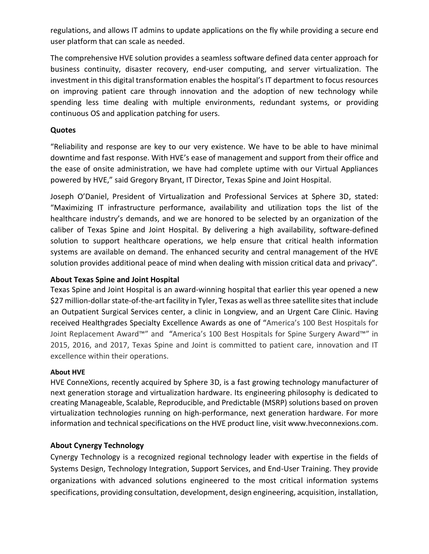regulations, and allows IT admins to update applications on the fly while providing a secure end user platform that can scale as needed.

The comprehensive HVE solution provides a seamless software defined data center approach for business continuity, disaster recovery, end-user computing, and server virtualization. The investment in this digital transformation enables the hospital's IT department to focus resources on improving patient care through innovation and the adoption of new technology while spending less time dealing with multiple environments, redundant systems, or providing continuous OS and application patching for users.

## **Quotes**

"Reliability and response are key to our very existence. We have to be able to have minimal downtime and fast response. With HVE's ease of management and support from their office and the ease of onsite administration, we have had complete uptime with our Virtual Appliances powered by HVE," said Gregory Bryant, IT Director, Texas Spine and Joint Hospital.

Joseph O'Daniel, President of Virtualization and Professional Services at Sphere 3D, stated: "Maximizing IT infrastructure performance, availability and utilization tops the list of the healthcare industry's demands, and we are honored to be selected by an organization of the caliber of Texas Spine and Joint Hospital. By delivering a high availability, software-defined solution to support healthcare operations, we help ensure that critical health information systems are available on demand. The enhanced security and central management of the HVE solution provides additional peace of mind when dealing with mission critical data and privacy".

# **About Texas Spine and Joint Hospital**

Texas Spine and Joint Hospital is an award-winning hospital that earlier this year opened a new \$27 million-dollar state-of-the-art facility in Tyler, Texas as well as three satellite sites that include an Outpatient Surgical Services center, a clinic in Longview, and an Urgent Care Clinic. Having received Healthgrades Specialty Excellence Awards as one of "America's 100 Best Hospitals for Joint Replacement Award™" and "America's 100 Best Hospitals for Spine Surgery Award™" in 2015, 2016, and 2017, Texas Spine and Joint is committed to patient care, innovation and IT excellence within their operations.

## **About HVE**

HVE ConneXions, recently acquired by Sphere 3D, is a fast growing technology manufacturer of next generation storage and virtualization hardware. Its engineering philosophy is dedicated to creating Manageable, Scalable, Reproducible, and Predictable (MSRP) solutions based on proven virtualization technologies running on high-performance, next generation hardware. For more information and technical specifications on the HVE product line, visit www.hveconnexions.com.

# **About Cynergy Technology**

Cynergy Technology is a recognized regional technology leader with expertise in the fields of Systems Design, Technology Integration, Support Services, and End-User Training. They provide organizations with advanced solutions engineered to the most critical information systems specifications, providing consultation, development, design engineering, acquisition, installation,